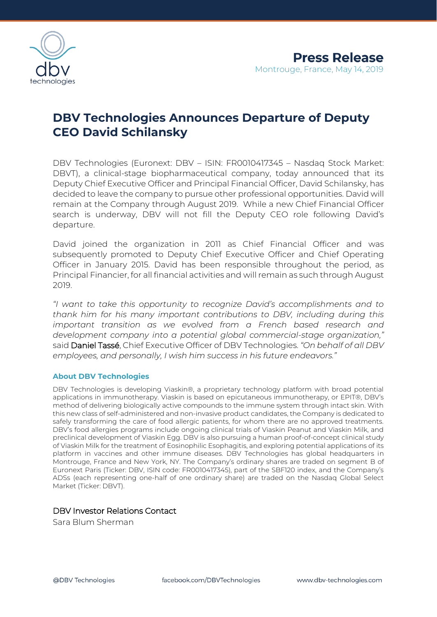

## **DBV Technologies Announces Departure of Deputy CEO David Schilansky**

DBV Technologies (Euronext: DBV – ISIN: FR0010417345 – Nasdaq Stock Market: DBVT), a clinical-stage biopharmaceutical company, today announced that its Deputy Chief Executive Officer and Principal Financial Officer, David Schilansky, has decided to leave the company to pursue other professional opportunities. David will remain at the Company through August 2019. While a new Chief Financial Officer search is underway, DBV will not fill the Deputy CEO role following David's departure.

David joined the organization in 2011 as Chief Financial Officer and was subsequently promoted to Deputy Chief Executive Officer and Chief Operating Officer in January 2015. David has been responsible throughout the period, as Principal Financier, for all financial activities and will remain as such through August 2019.

*"I want to take this opportunity to recognize David's accomplishments and to thank him for his many important contributions to DBV, including during this important transition as we evolved from a French based research and development company into a potential global commercial-stage organization,"* said Daniel Tassé, Chief Executive Officer of DBV Technologies. *"On behalf of all DBV employees, and personally, I wish him success in his future endeavors."*

## **About DBV Technologies**

DBV Technologies is developing Viaskin®, a proprietary technology platform with broad potential applications in immunotherapy. Viaskin is based on epicutaneous immunotherapy, or EPIT®, DBV's method of delivering biologically active compounds to the immune system through intact skin. With this new class of self-administered and non-invasive product candidates, the Company is dedicated to safely transforming the care of food allergic patients, for whom there are no approved treatments. DBV's food allergies programs include ongoing clinical trials of Viaskin Peanut and Viaskin Milk, and preclinical development of Viaskin Egg. DBV is also pursuing a human proof-of-concept clinical study of Viaskin Milk for the treatment of Eosinophilic Esophagitis, and exploring potential applications of its platform in vaccines and other immune diseases. DBV Technologies has global headquarters in Montrouge, France and New York, NY. The Company's ordinary shares are traded on segment B of Euronext Paris (Ticker: DBV, ISIN code: FR0010417345), part of the SBF120 index, and the Company's ADSs (each representing one-half of one ordinary share) are traded on the Nasdaq Global Select Market (Ticker: DBVT).

## DBV Investor Relations Contact

Sara Blum Sherman